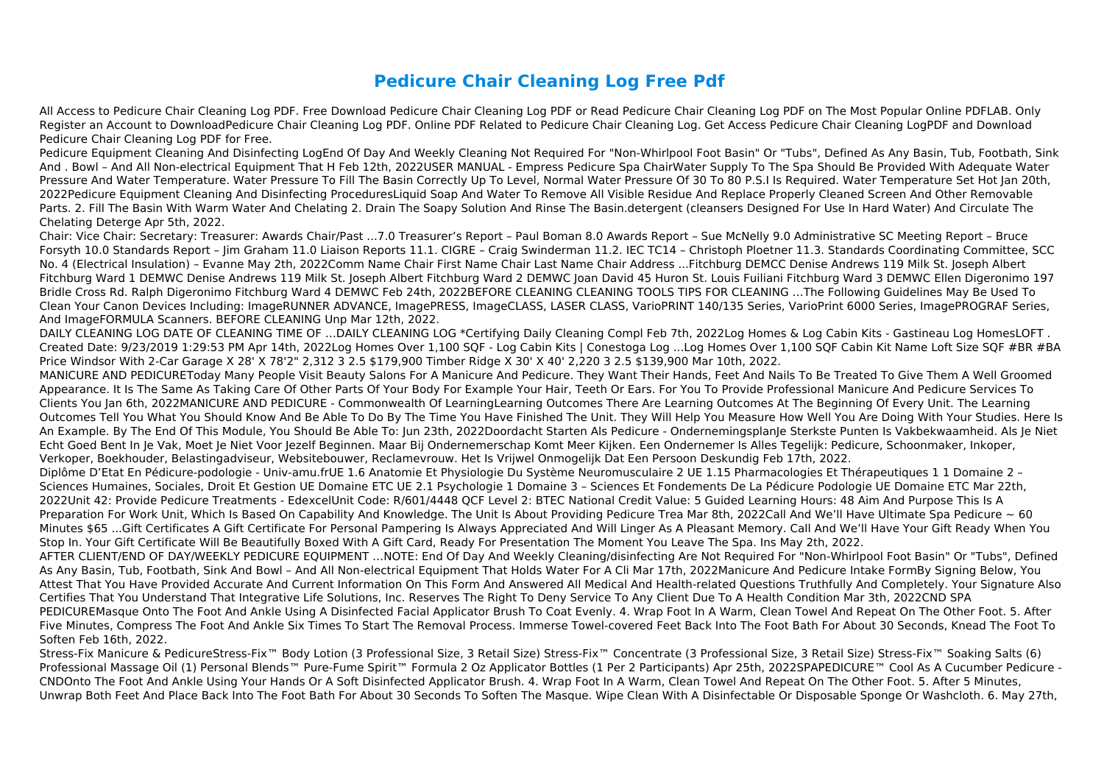## **Pedicure Chair Cleaning Log Free Pdf**

All Access to Pedicure Chair Cleaning Log PDF. Free Download Pedicure Chair Cleaning Log PDF or Read Pedicure Chair Cleaning Log PDF on The Most Popular Online PDFLAB. Only Register an Account to DownloadPedicure Chair Cleaning Log PDF. Online PDF Related to Pedicure Chair Cleaning Log. Get Access Pedicure Chair Cleaning LogPDF and Download Pedicure Chair Cleaning Log PDF for Free.

Pedicure Equipment Cleaning And Disinfecting LogEnd Of Day And Weekly Cleaning Not Required For "Non-Whirlpool Foot Basin" Or "Tubs", Defined As Any Basin, Tub, Footbath, Sink And . Bowl – And All Non-electrical Equipment That H Feb 12th, 2022USER MANUAL - Empress Pedicure Spa ChairWater Supply To The Spa Should Be Provided With Adequate Water Pressure And Water Temperature. Water Pressure To Fill The Basin Correctly Up To Level, Normal Water Pressure Of 30 To 80 P.S.I Is Required. Water Temperature Set Hot Jan 20th, 2022Pedicure Equipment Cleaning And Disinfecting ProceduresLiquid Soap And Water To Remove All Visible Residue And Replace Properly Cleaned Screen And Other Removable Parts. 2. Fill The Basin With Warm Water And Chelating 2. Drain The Soapy Solution And Rinse The Basin.detergent (cleansers Designed For Use In Hard Water) And Circulate The Chelating Deterge Apr 5th, 2022.

Chair: Vice Chair: Secretary: Treasurer: Awards Chair/Past ...7.0 Treasurer's Report – Paul Boman 8.0 Awards Report – Sue McNelly 9.0 Administrative SC Meeting Report – Bruce Forsyth 10.0 Standards Report – Jim Graham 11.0 Liaison Reports 11.1. CIGRE – Craig Swinderman 11.2. IEC TC14 – Christoph Ploetner 11.3. Standards Coordinating Committee, SCC No. 4 (Electrical Insulation) – Evanne May 2th, 2022Comm Name Chair First Name Chair Last Name Chair Address ...Fitchburg DEMCC Denise Andrews 119 Milk St. Joseph Albert Fitchburg Ward 1 DEMWC Denise Andrews 119 Milk St. Joseph Albert Fitchburg Ward 2 DEMWC Joan David 45 Huron St. Louis Fuiliani Fitchburg Ward 3 DEMWC Ellen Digeronimo 197 Bridle Cross Rd. Ralph Digeronimo Fitchburg Ward 4 DEMWC Feb 24th, 2022BEFORE CLEANING CLEANING TOOLS TIPS FOR CLEANING …The Following Guidelines May Be Used To Clean Your Canon Devices Including: ImageRUNNER ADVANCE, ImagePRESS, ImageCLASS, LASER CLASS, VarioPRINT 140/135 Series, VarioPrint 6000 Series, ImagePROGRAF Series, And ImageFORMULA Scanners. BEFORE CLEANING Unp Mar 12th, 2022.

DAILY CLEANING LOG DATE OF CLEANING TIME OF …DAILY CLEANING LOG \*Certifying Daily Cleaning Compl Feb 7th, 2022Log Homes & Log Cabin Kits - Gastineau Log HomesLOFT . Created Date: 9/23/2019 1:29:53 PM Apr 14th, 2022Log Homes Over 1,100 SQF - Log Cabin Kits | Conestoga Log ...Log Homes Over 1,100 SQF Cabin Kit Name Loft Size SQF #BR #BA Price Windsor With 2-Car Garage X 28' X 78'2" 2,312 3 2.5 \$179,900 Timber Ridge X 30' X 40' 2,220 3 2.5 \$139,900 Mar 10th, 2022.

MANICURE AND PEDICUREToday Many People Visit Beauty Salons For A Manicure And Pedicure. They Want Their Hands, Feet And Nails To Be Treated To Give Them A Well Groomed Appearance. It Is The Same As Taking Care Of Other Parts Of Your Body For Example Your Hair, Teeth Or Ears. For You To Provide Professional Manicure And Pedicure Services To Clients You Jan 6th, 2022MANICURE AND PEDICURE - Commonwealth Of LearningLearning Outcomes There Are Learning Outcomes At The Beginning Of Every Unit. The Learning Outcomes Tell You What You Should Know And Be Able To Do By The Time You Have Finished The Unit. They Will Help You Measure How Well You Are Doing With Your Studies. Here Is An Example. By The End Of This Module, You Should Be Able To: Jun 23th, 2022Doordacht Starten Als Pedicure - OndernemingsplanJe Sterkste Punten Is Vakbekwaamheid. Als Je Niet Echt Goed Bent In Je Vak, Moet Je Niet Voor Jezelf Beginnen. Maar Bij Ondernemerschap Komt Meer Kijken. Een Ondernemer Is Alles Tegelijk: Pedicure, Schoonmaker, Inkoper, Verkoper, Boekhouder, Belastingadviseur, Websitebouwer, Reclamevrouw. Het Is Vrijwel Onmogelijk Dat Een Persoon Deskundig Feb 17th, 2022. Diplôme D'Etat En Pédicure-podologie - Univ-amu.frUE 1.6 Anatomie Et Physiologie Du Système Neuromusculaire 2 UE 1.15 Pharmacologies Et Thérapeutiques 1 1 Domaine 2 – Sciences Humaines, Sociales, Droit Et Gestion UE Domaine ETC UE 2.1 Psychologie 1 Domaine 3 – Sciences Et Fondements De La Pédicure Podologie UE Domaine ETC Mar 22th, 2022Unit 42: Provide Pedicure Treatments - EdexcelUnit Code: R/601/4448 QCF Level 2: BTEC National Credit Value: 5 Guided Learning Hours: 48 Aim And Purpose This Is A Preparation For Work Unit, Which Is Based On Capability And Knowledge. The Unit Is About Providing Pedicure Trea Mar 8th, 2022Call And We'll Have Ultimate Spa Pedicure  $\sim 60$ Minutes \$65 ...Gift Certificates A Gift Certificate For Personal Pampering Is Always Appreciated And Will Linger As A Pleasant Memory. Call And We'll Have Your Gift Ready When You Stop In. Your Gift Certificate Will Be Beautifully Boxed With A Gift Card, Ready For Presentation The Moment You Leave The Spa. Ins May 2th, 2022. AFTER CLIENT/END OF DAY/WEEKLY PEDICURE EQUIPMENT …NOTE: End Of Day And Weekly Cleaning/disinfecting Are Not Required For "Non-Whirlpool Foot Basin" Or "Tubs", Defined As Any Basin, Tub, Footbath, Sink And Bowl – And All Non-electrical Equipment That Holds Water For A Cli Mar 17th, 2022Manicure And Pedicure Intake FormBy Signing Below, You Attest That You Have Provided Accurate And Current Information On This Form And Answered All Medical And Health-related Questions Truthfully And Completely. Your Signature Also Certifies That You Understand That Integrative Life Solutions, Inc. Reserves The Right To Deny Service To Any Client Due To A Health Condition Mar 3th, 2022CND SPA PEDICUREMasque Onto The Foot And Ankle Using A Disinfected Facial Applicator Brush To Coat Evenly. 4. Wrap Foot In A Warm, Clean Towel And Repeat On The Other Foot. 5. After Five Minutes, Compress The Foot And Ankle Six Times To Start The Removal Process. Immerse Towel-covered Feet Back Into The Foot Bath For About 30 Seconds, Knead The Foot To Soften Feb 16th, 2022.

Stress-Fix Manicure & PedicureStress-Fix™ Body Lotion (3 Professional Size, 3 Retail Size) Stress-Fix™ Concentrate (3 Professional Size, 3 Retail Size) Stress-Fix™ Soaking Salts (6) Professional Massage Oil (1) Personal Blends™ Pure-Fume Spirit™ Formula 2 Oz Applicator Bottles (1 Per 2 Participants) Apr 25th, 2022SPAPEDICURE™ Cool As A Cucumber Pedicure -CNDOnto The Foot And Ankle Using Your Hands Or A Soft Disinfected Applicator Brush. 4. Wrap Foot In A Warm, Clean Towel And Repeat On The Other Foot. 5. After 5 Minutes, Unwrap Both Feet And Place Back Into The Foot Bath For About 30 Seconds To Soften The Masque. Wipe Clean With A Disinfectable Or Disposable Sponge Or Washcloth. 6. May 27th,